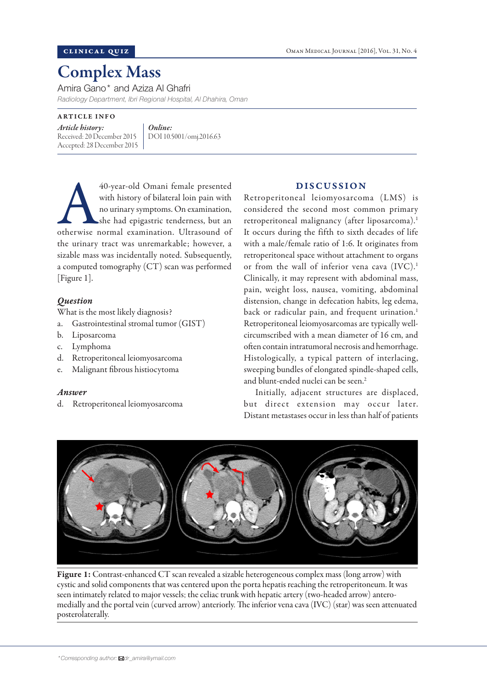# Complex Mass

Amira Gano\* and Aziza Al Ghafri

*Radiology Department, Ibri Regional Hospital, Al Dhahira, Oman*

ARTICLE INFO

*Article history:*  Received: 20 December 2015 Accepted: 28 December 2015

*Online:* DOI 10.5001/omj.2016.63

40-year-old Omani female presented<br>
with history of bilateral loin pain with<br>
no urinary symptoms. On examination,<br>
she had epigastric tenderness, but an<br>
otherwise normal examination. Ultrasound of with history of bilateral loin pain with no urinary symptoms. On examination, she had epigastric tenderness, but an the urinary tract was unremarkable; however, a sizable mass was incidentally noted. Subsequently, a computed tomography (CT) scan was performed [Figure 1].

# *Question*

What is the most likely diagnosis?

- a. Gastrointestinal stromal tumor (GIST)
- b. Liposarcoma
- c. Lymphoma
- d. Retroperitoneal leiomyosarcoma
- e. Malignant fibrous histiocytoma

### *Answer*

d. Retroperitoneal leiomyosarcoma

## DISCUSSION

Retroperitoneal leiomyosarcoma (LMS) is considered the second most common primary retroperitoneal malignancy (after liposarcoma).<sup>1</sup> It occurs during the fifth to sixth decades of life with a male/female ratio of 1:6. It originates from retroperitoneal space without attachment to organs or from the wall of inferior vena cava (IVC).<sup>1</sup> Clinically, it may represent with abdominal mass, pain, weight loss, nausea, vomiting, abdominal distension, change in defecation habits, leg edema, back or radicular pain, and frequent urination.<sup>1</sup> Retroperitoneal leiomyosarcomas are typically wellcircumscribed with a mean diameter of 16 cm, and often contain intratumoral necrosis and hemorrhage. Histologically, a typical pattern of interlacing, sweeping bundles of elongated spindle-shaped cells, and blunt-ended nuclei can be seen.<sup>2</sup>

Initially, adjacent structures are displaced, but direct extension may occur later. Distant metastases occur in less than half of patients



Figure 1: Contrast-enhanced CT scan revealed a sizable heterogeneous complex mass (long arrow) with cystic and solid components that was centered upon the porta hepatis reaching the retroperitoneum. It was seen intimately related to major vessels; the celiac trunk with hepatic artery (two-headed arrow) anteromedially and the portal vein (curved arrow) anteriorly. The inferior vena cava (IVC) (star) was seen attenuated posterolaterally.